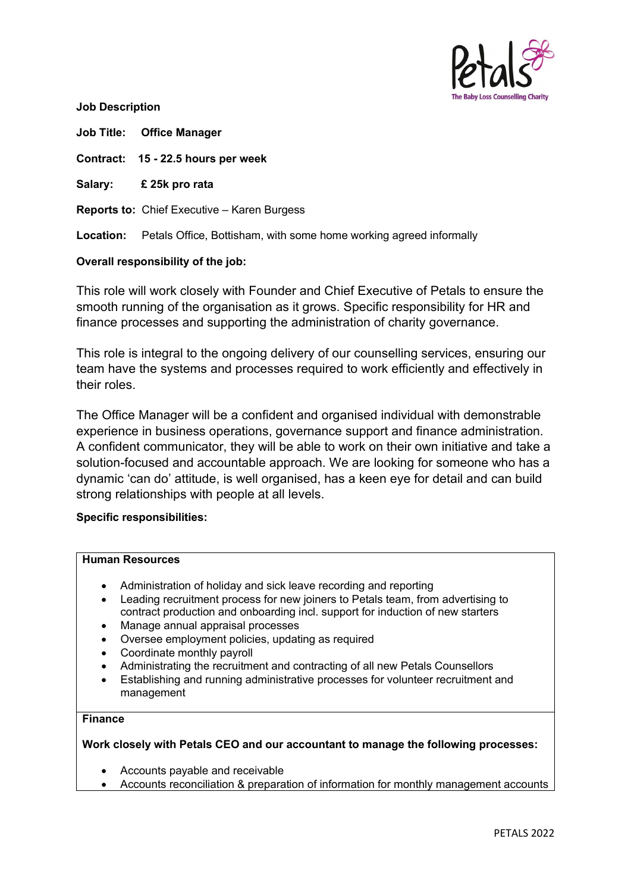

**Job Description**

**Job Title: Office Manager**

**Contract: 15 - 22.5 hours per week** 

**Salary: £ 25k pro rata**

**Reports to:** Chief Executive – Karen Burgess

**Location:** Petals Office, Bottisham, with some home working agreed informally

# **Overall responsibility of the job:**

This role will work closely with Founder and Chief Executive of Petals to ensure the smooth running of the organisation as it grows. Specific responsibility for HR and finance processes and supporting the administration of charity governance.

This role is integral to the ongoing delivery of our counselling services, ensuring our team have the systems and processes required to work efficiently and effectively in their roles.

The Office Manager will be a confident and organised individual with demonstrable experience in business operations, governance support and finance administration. A confident communicator, they will be able to work on their own initiative and take a solution-focused and accountable approach. We are looking for someone who has a dynamic 'can do' attitude, is well organised, has a keen eye for detail and can build strong relationships with people at all levels.

#### **Specific responsibilities:**

# **Human Resources**

- Administration of holiday and sick leave recording and reporting
- Leading recruitment process for new joiners to Petals team, from advertising to contract production and onboarding incl. support for induction of new starters
- Manage annual appraisal processes
- Oversee employment policies, updating as required
- Coordinate monthly payroll
- Administrating the recruitment and contracting of all new Petals Counsellors
- Establishing and running administrative processes for volunteer recruitment and management

# **Finance**

**Work closely with Petals CEO and our accountant to manage the following processes:**

- Accounts payable and receivable
- Accounts reconciliation & preparation of information for monthly management accounts